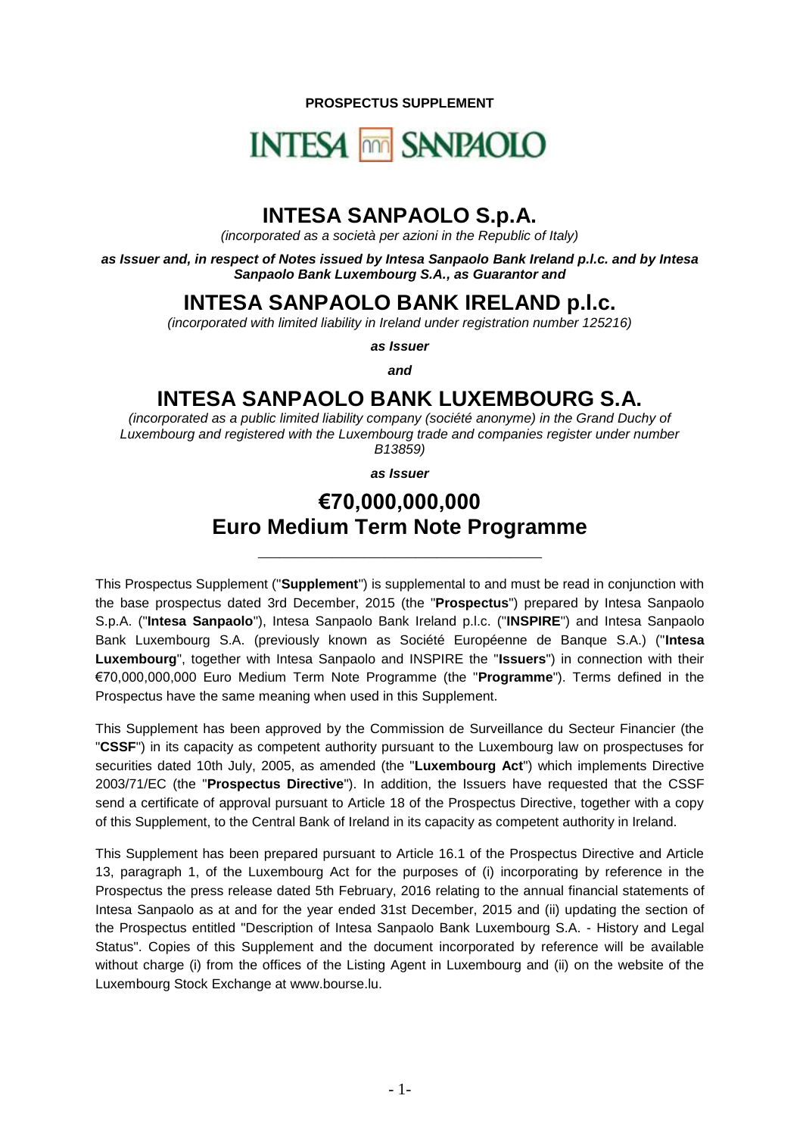**PROSPECTUS SUPPLEMENT**

# **INTESA MM SANPAOLO**

## **INTESA SANPAOLO S.p.A.**

*(incorporated as a società per azioni in the Republic of Italy)*

*as Issuer and, in respect of Notes issued by Intesa Sanpaolo Bank Ireland p.l.c. and by Intesa Sanpaolo Bank Luxembourg S.A., as Guarantor and*

#### **INTESA SANPAOLO BANK IRELAND p.l.c.**

*(incorporated with limited liability in Ireland under registration number 125216)*

*as Issuer*

*and*

### **INTESA SANPAOLO BANK LUXEMBOURG S.A.**

*(incorporated as a public limited liability company (société anonyme) in the Grand Duchy of Luxembourg and registered with the Luxembourg trade and companies register under number B13859)*

*as Issuer*

## **€70,000,000,000 Euro Medium Term Note Programme**

**\_\_\_\_\_\_\_\_\_\_\_\_\_\_\_\_\_\_\_\_\_\_\_\_\_\_\_**

This Prospectus Supplement ("**Supplement**") is supplemental to and must be read in conjunction with the base prospectus dated 3rd December, 2015 (the "**Prospectus**") prepared by Intesa Sanpaolo S.p.A. ("**Intesa Sanpaolo**"), Intesa Sanpaolo Bank Ireland p.l.c. ("**INSPIRE**") and Intesa Sanpaolo Bank Luxembourg S.A. (previously known as Société Européenne de Banque S.A.) ("**Intesa Luxembourg**", together with Intesa Sanpaolo and INSPIRE the "**Issuers**") in connection with their €70,000,000,000 Euro Medium Term Note Programme (the "**Programme**"). Terms defined in the Prospectus have the same meaning when used in this Supplement.

This Supplement has been approved by the Commission de Surveillance du Secteur Financier (the "**CSSF**") in its capacity as competent authority pursuant to the Luxembourg law on prospectuses for securities dated 10th July, 2005, as amended (the "**Luxembourg Act**") which implements Directive 2003/71/EC (the "**Prospectus Directive**"). In addition, the Issuers have requested that the CSSF send a certificate of approval pursuant to Article 18 of the Prospectus Directive, together with a copy of this Supplement, to the Central Bank of Ireland in its capacity as competent authority in Ireland.

This Supplement has been prepared pursuant to Article 16.1 of the Prospectus Directive and Article 13, paragraph 1, of the Luxembourg Act for the purposes of (i) incorporating by reference in the Prospectus the press release dated 5th February, 2016 relating to the annual financial statements of Intesa Sanpaolo as at and for the year ended 31st December, 2015 and (ii) updating the section of the Prospectus entitled "Description of Intesa Sanpaolo Bank Luxembourg S.A. - History and Legal Status". Copies of this Supplement and the document incorporated by reference will be available without charge (i) from the offices of the Listing Agent in Luxembourg and (ii) on the website of the Luxembourg Stock Exchange at www.bourse.lu.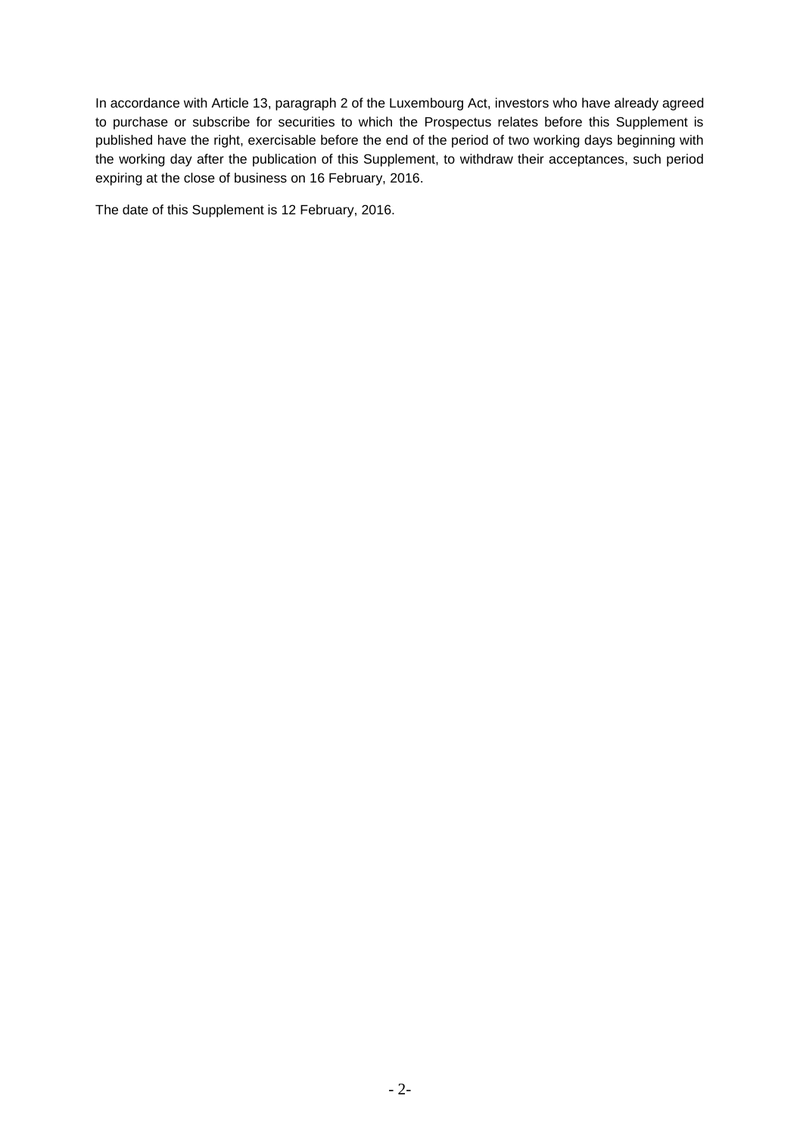In accordance with Article 13, paragraph 2 of the Luxembourg Act, investors who have already agreed to purchase or subscribe for securities to which the Prospectus relates before this Supplement is published have the right, exercisable before the end of the period of two working days beginning with the working day after the publication of this Supplement, to withdraw their acceptances, such period expiring at the close of business on 16 February, 2016.

The date of this Supplement is 12 February, 2016.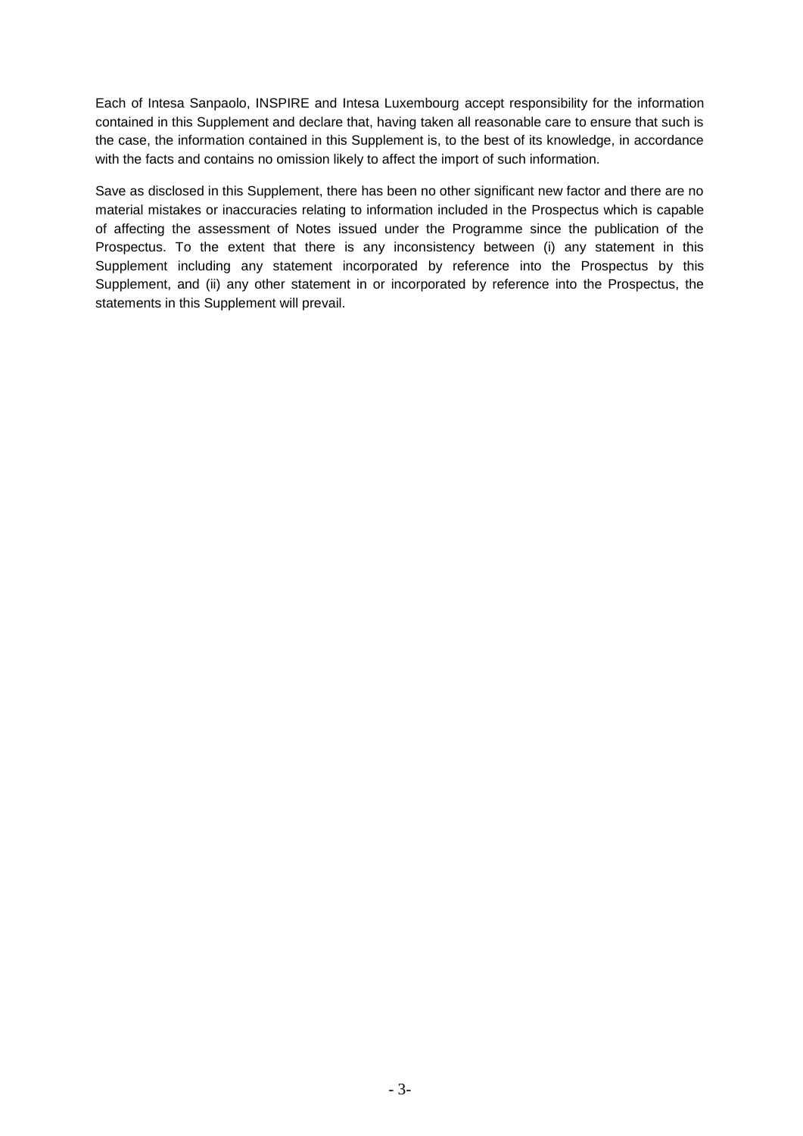Each of Intesa Sanpaolo, INSPIRE and Intesa Luxembourg accept responsibility for the information contained in this Supplement and declare that, having taken all reasonable care to ensure that such is the case, the information contained in this Supplement is, to the best of its knowledge, in accordance with the facts and contains no omission likely to affect the import of such information.

Save as disclosed in this Supplement, there has been no other significant new factor and there are no material mistakes or inaccuracies relating to information included in the Prospectus which is capable of affecting the assessment of Notes issued under the Programme since the publication of the Prospectus. To the extent that there is any inconsistency between (i) any statement in this Supplement including any statement incorporated by reference into the Prospectus by this Supplement, and (ii) any other statement in or incorporated by reference into the Prospectus, the statements in this Supplement will prevail.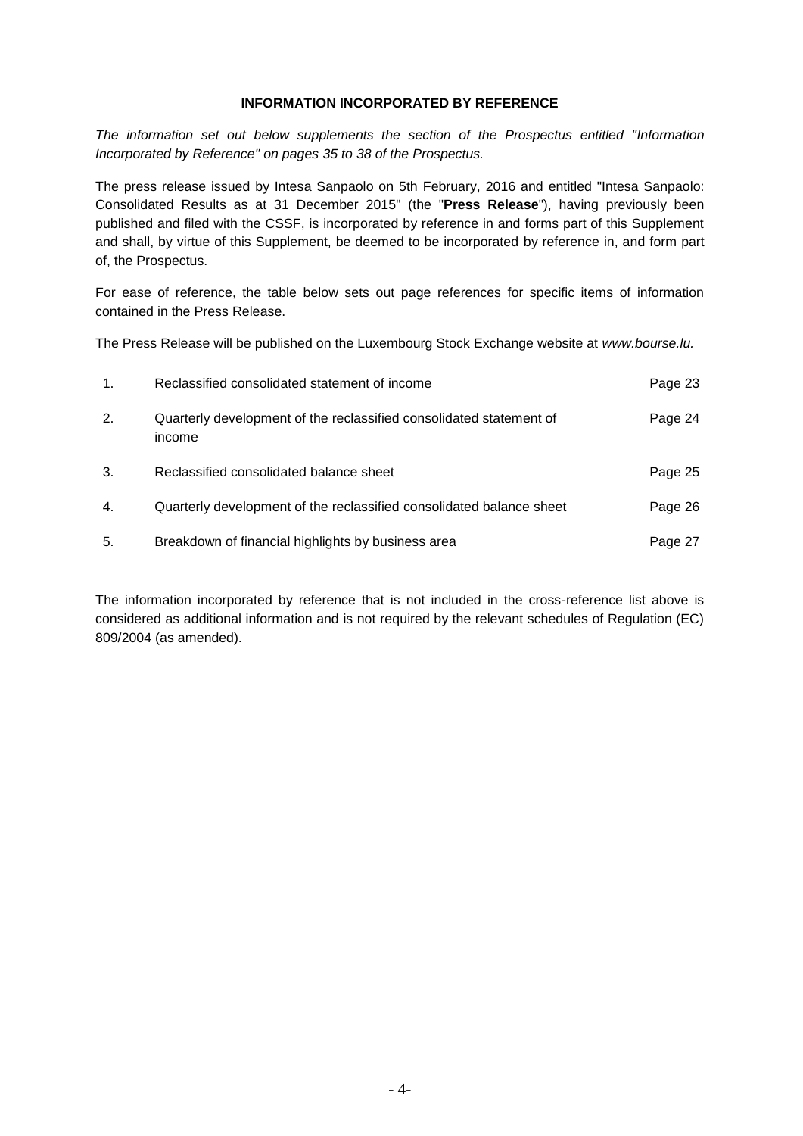#### **INFORMATION INCORPORATED BY REFERENCE**

*The information set out below supplements the section of the Prospectus entitled "Information Incorporated by Reference" on pages 35 to 38 of the Prospectus.*

The press release issued by Intesa Sanpaolo on 5th February, 2016 and entitled "Intesa Sanpaolo: Consolidated Results as at 31 December 2015" (the "**Press Release**"), having previously been published and filed with the CSSF, is incorporated by reference in and forms part of this Supplement and shall, by virtue of this Supplement, be deemed to be incorporated by reference in, and form part of, the Prospectus.

For ease of reference, the table below sets out page references for specific items of information contained in the Press Release.

The Press Release will be published on the Luxembourg Stock Exchange website at *www.bourse.lu.*

| 1. | Reclassified consolidated statement of income                                 | Page 23 |
|----|-------------------------------------------------------------------------------|---------|
| 2. | Quarterly development of the reclassified consolidated statement of<br>income | Page 24 |
| 3. | Reclassified consolidated balance sheet                                       | Page 25 |
| 4. | Quarterly development of the reclassified consolidated balance sheet          | Page 26 |
| 5. | Breakdown of financial highlights by business area                            | Page 27 |

The information incorporated by reference that is not included in the cross-reference list above is considered as additional information and is not required by the relevant schedules of Regulation (EC) 809/2004 (as amended).